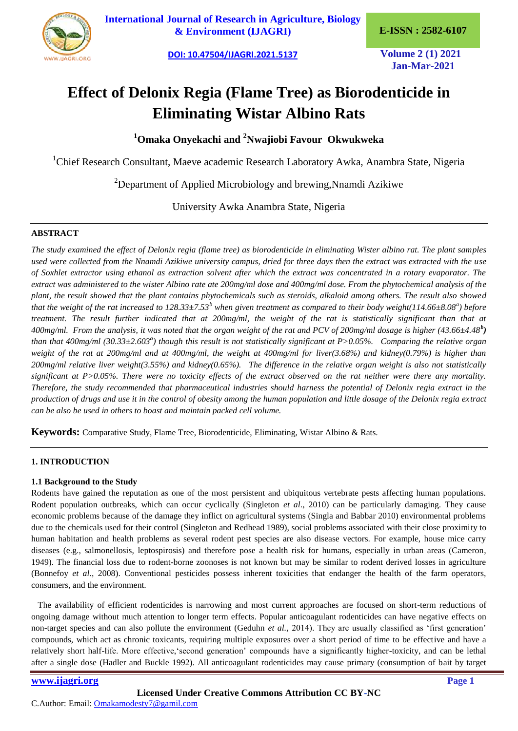

**[International Journal of Research in Agriculture, Biology](https://ijagri.org/index.php/ijagri/about)  [& Environment \(IJAGRI\)](https://ijagri.org/index.php/ijagri/about) E-ISSN : 2582-6107**

**[DOI: 10.47504/IJAGRI.2021.5137](http://doi.org/10.47504/IJAGRI.2021.5137) Volume 2 (1) 2021**

**Jan-Mar-2021**

# **Effect of Delonix Regia (Flame Tree) as Biorodenticide in Eliminating Wistar Albino Rats**

**<sup>1</sup>Omaka Onyekachi and <sup>2</sup>Nwajiobi Favour Okwukweka**

<sup>1</sup>Chief Research Consultant, Maeve academic Research Laboratory Awka, Anambra State, Nigeria

<sup>2</sup>Department of Applied Microbiology and brewing, Nnamdi Azikiwe

University Awka Anambra State, Nigeria

## **ABSTRACT**

*The study examined the effect of Delonix regia (flame tree) as biorodenticide in eliminating Wister albino rat. The plant samples used were collected from the Nnamdi Azikiwe university campus, dried for three days then the extract was extracted with the use of Soxhlet extractor using ethanol as extraction solvent after which the extract was concentrated in a rotary evaporator. The extract was administered to the wister Albino rate ate 200mg/ml dose and 400mg/ml dose. From the phytochemical analysis of the plant, the result showed that the plant contains phytochemicals such as steroids, alkaloid among others. The result also showed that the weight of the rat increased to 128.33±7.53<sup>b</sup> when given treatment as compared to their body weight(114.66±8.08<sup>a</sup> ) before treatment. The result further indicated that at 200mg/ml, the weight of the rat is statistically significant than that at 400mg/ml. From the analysis, it was noted that the organ weight of the rat and PCV of 200mg/ml dosage is higher (43.66±4.48<sup>b</sup> )* than that 400mg/ml (30.33±2.603<sup>*a*</sup>) though this result is not statistically significant at P>0.05%. Comparing the relative organ *weight of the rat at 200mg/ml and at 400mg/ml, the weight at 400mg/ml for liver(3.68%) and kidney(0.79%) is higher than 200mg/ml relative liver weight(3.55%) and kidney(0.65%). The difference in the relative organ weight is also not statistically significant at P>0.05%. There were no toxicity effects of the extract observed on the rat neither were there any mortality. Therefore, the study recommended that pharmaceutical industries should harness the potential of Delonix regia extract in the production of drugs and use it in the control of obesity among the human population and little dosage of the Delonix regia extract can be also be used in others to boast and maintain packed cell volume.*

**Keywords:** Comparative Study, Flame Tree, Biorodenticide, Eliminating, Wistar Albino & Rats.

# **1. INTRODUCTION**

#### **1.1 Background to the Study**

Rodents have gained the reputation as one of the most persistent and ubiquitous vertebrate pests affecting human populations. Rodent population outbreaks, which can occur cyclically (Singleton *et al*., 2010) can be particularly damaging. They cause economic problems because of the damage they inflict on agricultural systems (Singla and Babbar 2010) environmental problems due to the chemicals used for their control (Singleton and Redhead 1989), social problems associated with their close proximity to human habitation and health problems as several rodent pest species are also disease vectors. For example, house mice carry diseases (e.g., salmonellosis, leptospirosis) and therefore pose a health risk for humans, especially in urban areas (Cameron, 1949). The financial loss due to rodent-borne zoonoses is not known but may be similar to rodent derived losses in agriculture (Bonnefoy *et al*., 2008). Conventional pesticides possess inherent toxicities that endanger the health of the farm operators, consumers, and the environment.

 The availability of efficient rodenticides is narrowing and most current approaches are focused on short-term reductions of ongoing damage without much attention to longer term effects. Popular anticoagulant rodenticides can have negative effects on non-target species and can also pollute the environment (Geduhn *et al.*, 2014). They are usually classified as 'first generation' compounds, which act as chronic toxicants, requiring multiple exposures over a short period of time to be effective and have a relatively short half-life. More effective, second generation' compounds have a significantly higher-toxicity, and can be lethal after a single dose (Hadler and Buckle 1992). All anticoagulant rodenticides may cause primary (consumption of bait by target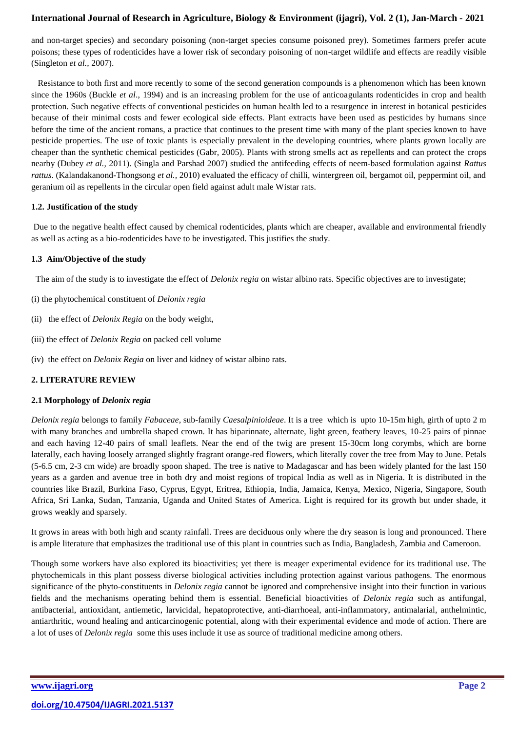and non-target species) and secondary poisoning (non-target species consume poisoned prey). Sometimes farmers prefer acute poisons; these types of rodenticides have a lower risk of secondary poisoning of non-target wildlife and effects are readily visible (Singleton *et al.,* 2007).

 Resistance to both first and more recently to some of the second generation compounds is a phenomenon which has been known since the 1960s (Buckle *et al*., 1994) and is an increasing problem for the use of anticoagulants rodenticides in crop and health protection. Such negative effects of conventional pesticides on human health led to a resurgence in interest in botanical pesticides because of their minimal costs and fewer ecological side effects. Plant extracts have been used as pesticides by humans since before the time of the ancient romans, a practice that continues to the present time with many of the plant species known to have pesticide properties. The use of toxic plants is especially prevalent in the developing countries, where plants grown locally are cheaper than the synthetic chemical pesticides (Gabr, 2005). Plants with strong smells act as repellents and can protect the crops nearby (Dubey *et al.,* 2011). (Singla and Parshad 2007) studied the antifeeding effects of neem-based formulation against *Rattus rattus*. (Kalandakanond-Thongsong *et al.,* 2010) evaluated the efficacy of chilli, wintergreen oil, bergamot oil, peppermint oil, and geranium oil as repellents in the circular open field against adult male Wistar rats.

## **1.2. Justification of the study**

Due to the negative health effect caused by chemical rodenticides, plants which are cheaper, available and environmental friendly as well as acting as a bio-rodenticides have to be investigated. This justifies the study.

## **1.3 Aim/Objective of the study**

The aim of the study is to investigate the effect of *Delonix regia* on wistar albino rats. Specific objectives are to investigate;

- (i) the phytochemical constituent of *Delonix regia*
- (ii) the effect of *Delonix Regia* on the body weight,
- (iii) the effect of *Delonix Regia* on packed cell volume
- (iv) the effect on *Delonix Regia* on liver and kidney of wistar albino rats.

# **2. LITERATURE REVIEW**

#### **2.1 Morphology of** *Delonix regia*

*Delonix regia* belongs to family *Fabaceae*, sub-family *Caesalpinioideae*. It is a tree which is upto 10-15m high, girth of upto 2 m with many branches and umbrella shaped crown. It has biparinnate, alternate, light green, feathery leaves, 10-25 pairs of pinnae and each having 12-40 pairs of small leaflets. Near the end of the twig are present 15-30cm long corymbs, which are borne laterally, each having loosely arranged slightly fragrant orange-red flowers, which literally cover the tree from May to June. Petals (5-6.5 cm, 2-3 cm wide) are broadly spoon shaped. The tree is native to Madagascar and has been widely planted for the last 150 years as a garden and avenue tree in both dry and moist regions of tropical India as well as in Nigeria. It is distributed in the countries like Brazil, Burkina Faso, Cyprus, Egypt, Eritrea, Ethiopia, India, Jamaica, Kenya, Mexico, Nigeria, Singapore, South Africa, Sri Lanka, Sudan, Tanzania, Uganda and United States of America. Light is required for its growth but under shade, it grows weakly and sparsely.

It grows in areas with both high and scanty rainfall. Trees are deciduous only where the dry season is long and pronounced. There is ample literature that emphasizes the traditional use of this plant in countries such as India, Bangladesh, Zambia and Cameroon.

Though some workers have also explored its bioactivities; yet there is meager experimental evidence for its traditional use. The phytochemicals in this plant possess diverse biological activities including protection against various pathogens. The enormous significance of the phyto-constituents in *Delonix regia* cannot be ignored and comprehensive insight into their function in various fields and the mechanisms operating behind them is essential. Beneficial bioactivities of *Delonix regia* such as antifungal, antibacterial, antioxidant, antiemetic, larvicidal, hepatoprotective, anti-diarrhoeal, anti-inflammatory, antimalarial, anthelmintic, antiarthritic, wound healing and anticarcinogenic potential, along with their experimental evidence and mode of action. There are a lot of uses of *Delonix regia* some this uses include it use as source of traditional medicine among others.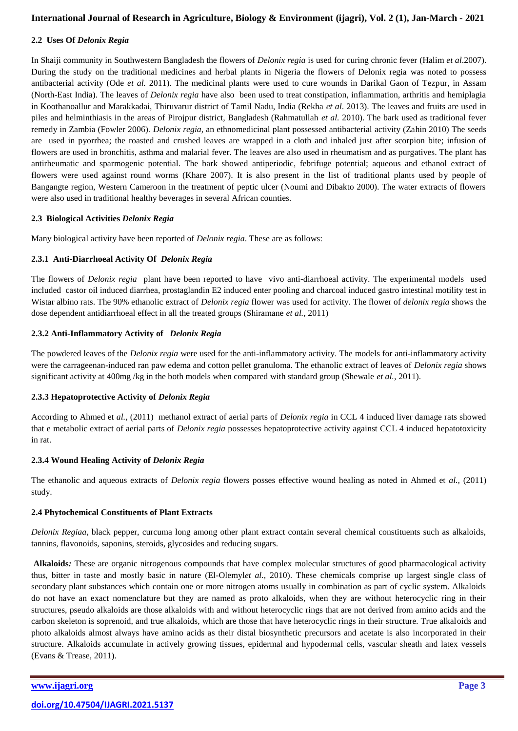## **2.2 Uses Of** *Delonix Regia*

In Shaiji community in Southwestern Bangladesh the flowers of *Delonix regia* is used for curing chronic fever (Halim *et al*.2007). During the study on the traditional medicines and herbal plants in Nigeria the flowers of Delonix regia was noted to possess antibacterial activity (Ode *et al.* 2011). The medicinal plants were used to cure wounds in Darikal Gaon of Tezpur, in Assam (North-East India). The leaves of *Delonix regia* have also been used to treat constipation, inflammation, arthritis and hemiplagia in Koothanoallur and Marakkadai, Thiruvarur district of Tamil Nadu, India (Rekha *et al*. 2013). The leaves and fruits are used in piles and helminthiasis in the areas of Pirojpur district, Bangladesh (Rahmatullah *et al.* 2010). The bark used as traditional fever remedy in Zambia (Fowler 2006). *Delonix regia,* an ethnomedicinal plant possessed antibacterial activity (Zahin 2010) The seeds are used in pyorrhea; the roasted and crushed leaves are wrapped in a cloth and inhaled just after scorpion bite; infusion of flowers are used in bronchitis, asthma and malarial fever. The leaves are also used in rheumatism and as purgatives. The plant has antirheumatic and sparmogenic potential. The bark showed antiperiodic, febrifuge potential; aqueous and ethanol extract of flowers were used against round worms (Khare 2007). It is also present in the list of traditional plants used by people of Bangangte region, Western Cameroon in the treatment of peptic ulcer (Noumi and Dibakto 2000). The water extracts of flowers were also used in traditional healthy beverages in several African counties.

## **2.3 Biological Activities** *Delonix Regia*

Many biological activity have been reported of *Delonix regia*. These are as follows:

## **2.3.1 Anti-Diarrhoeal Activity Of** *Delonix Regia*

The flowers of *Delonix regia* plant have been reported to have vivo anti-diarrhoeal activity. The experimental models used included castor oil induced diarrhea, prostaglandin E2 induced enter pooling and charcoal induced gastro intestinal motility test in Wistar albino rats. The 90% ethanolic extract of *Delonix regia* flower was used for activity. The flower of *delonix regia* shows the dose dependent antidiarrhoeal effect in all the treated groups (Shiramane *et al.,* 2011)

# **2.3.2 Anti-Inflammatory Activity of** *Delonix Regia*

The powdered leaves of the *Delonix regia* were used for the anti-inflammatory activity. The models for anti-inflammatory activity were the carrageenan-induced ran paw edema and cotton pellet granuloma. The ethanolic extract of leaves of *Delonix regia* shows significant activity at 400mg /kg in the both models when compared with standard group (Shewale *et al.,* 2011).

#### **2.3.3 Hepatoprotective Activity of** *Delonix Regia*

According to Ahmed et *al.,* (2011) methanol extract of aerial parts of *Delonix regia* in CCL 4 induced liver damage rats showed that e metabolic extract of aerial parts of *Delonix regia* possesses hepatoprotective activity against CCL 4 induced hepatotoxicity in rat.

#### **2.3.4 Wound Healing Activity of** *Delonix Regia*

The ethanolic and aqueous extracts of *Delonix regia* flowers posses effective wound healing as noted in Ahmed et *al.,* (2011) study.

#### **2.4 Phytochemical Constituents of Plant Extracts**

*Delonix Regiaa*, black pepper, curcuma long among other plant extract contain several chemical constituents such as alkaloids, tannins, flavonoids, saponins, steroids, glycosides and reducing sugars.

**Alkaloids***:* These are organic nitrogenous compounds that have complex molecular structures of good pharmacological activity thus, bitter in taste and mostly basic in nature (El-Olemyl*et al.,* 2010). These chemicals comprise up largest single class of secondary plant substances which contain one or more nitrogen atoms usually in combination as part of cyclic system. Alkaloids do not have an exact nomenclature but they are named as proto alkaloids, when they are without heterocyclic ring in their structures, pseudo alkaloids are those alkaloids with and without heterocyclic rings that are not derived from amino acids and the carbon skeleton is soprenoid, and true alkaloids, which are those that have heterocyclic rings in their structure. True alkaloids and photo alkaloids almost always have amino acids as their distal biosynthetic precursors and acetate is also incorporated in their structure. Alkaloids accumulate in actively growing tissues, epidermal and hypodermal cells, vascular sheath and latex vessels (Evans & Trease, 2011).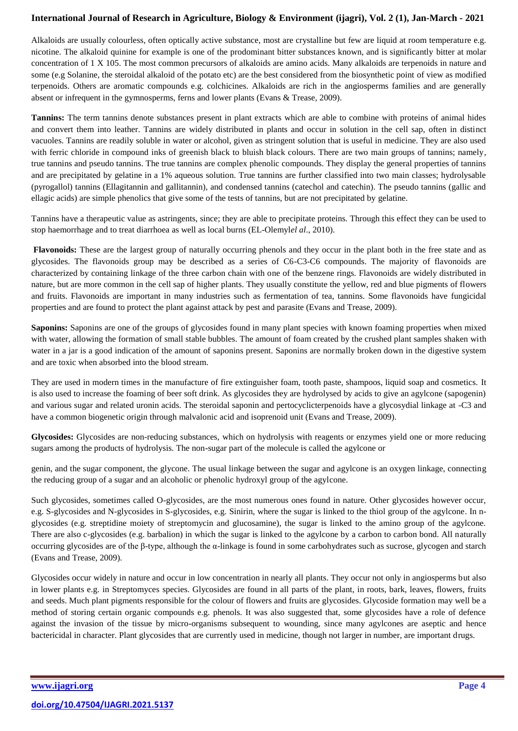Alkaloids are usually colourless, often optically active substance, most are crystalline but few are liquid at room temperature e.g. nicotine. The alkaloid quinine for example is one of the prodominant bitter substances known, and is significantly bitter at molar concentration of 1 X 105. The most common precursors of alkaloids are amino acids. Many alkaloids are terpenoids in nature and some (e.g Solanine, the steroidal alkaloid of the potato etc) are the best considered from the biosynthetic point of view as modified terpenoids. Others are aromatic compounds e.g. colchicines. Alkaloids are rich in the angiosperms families and are generally absent or infrequent in the gymnosperms, ferns and lower plants (Evans & Trease, 2009).

**Tannins:** The term tannins denote substances present in plant extracts which are able to combine with proteins of animal hides and convert them into leather. Tannins are widely distributed in plants and occur in solution in the cell sap, often in distinct vacuoles. Tannins are readily soluble in water or alcohol, given as stringent solution that is useful in medicine. They are also used with ferric chloride in compound inks of greenish black to bluish black colours. There are two main groups of tannins; namely, true tannins and pseudo tannins. The true tannins are complex phenolic compounds. They display the general properties of tannins and are precipitated by gelatine in a 1% aqueous solution. True tannins are further classified into two main classes; hydrolysable (pyrogallol) tannins (Ellagitannin and gallitannin), and condensed tannins (catechol and catechin). The pseudo tannins (gallic and ellagic acids) are simple phenolics that give some of the tests of tannins, but are not precipitated by gelatine.

Tannins have a therapeutic value as astringents, since; they are able to precipitate proteins. Through this effect they can be used to stop haemorrhage and to treat diarrhoea as well as local burns (EL-Olemyl*el al*., 2010).

**Flavonoids:** These are the largest group of naturally occurring phenols and they occur in the plant both in the free state and as glycosides. The flavonoids group may be described as a series of C6-C3-C6 compounds. The majority of flavonoids are characterized by containing linkage of the three carbon chain with one of the benzene rings. Flavonoids are widely distributed in nature, but are more common in the cell sap of higher plants. They usually constitute the yellow, red and blue pigments of flowers and fruits. Flavonoids are important in many industries such as fermentation of tea, tannins. Some flavonoids have fungicidal properties and are found to protect the plant against attack by pest and parasite (Evans and Trease, 2009).

**Saponins:** Saponins are one of the groups of glycosides found in many plant species with known foaming properties when mixed with water, allowing the formation of small stable bubbles. The amount of foam created by the crushed plant samples shaken with water in a jar is a good indication of the amount of saponins present. Saponins are normally broken down in the digestive system and are toxic when absorbed into the blood stream.

They are used in modern times in the manufacture of fire extinguisher foam, tooth paste, shampoos, liquid soap and cosmetics. It is also used to increase the foaming of beer soft drink. As glycosides they are hydrolysed by acids to give an agylcone (sapogenin) and various sugar and related uronin acids. The steroidal saponin and pertocyclicterpenoids have a glycosydial linkage at -C3 and have a common biogenetic origin through malvalonic acid and isoprenoid unit (Evans and Trease, 2009).

**Glycosides:** Glycosides are non-reducing substances, which on hydrolysis with reagents or enzymes yield one or more reducing sugars among the products of hydrolysis. The non-sugar part of the molecule is called the agylcone or

genin, and the sugar component, the glycone. The usual linkage between the sugar and agylcone is an oxygen linkage, connecting the reducing group of a sugar and an alcoholic or phenolic hydroxyl group of the agylcone.

Such glycosides, sometimes called O-glycosides, are the most numerous ones found in nature. Other glycosides however occur, e.g. S-glycosides and N-glycosides in S-glycosides, e.g. Sinirin, where the sugar is linked to the thiol group of the agylcone. In nglycosides (e.g. streptidine moiety of streptomycin and glucosamine), the sugar is linked to the amino group of the agylcone. There are also c-glycosides (e.g. barbalion) in which the sugar is linked to the agylcone by a carbon to carbon bond. All naturally occurring glycosides are of the β-type, although the α-linkage is found in some carbohydrates such as sucrose, glycogen and starch (Evans and Trease, 2009).

Glycosides occur widely in nature and occur in low concentration in nearly all plants. They occur not only in angiosperms but also in lower plants e.g. in Streptomyces species. Glycosides are found in all parts of the plant, in roots, bark, leaves, flowers, fruits and seeds. Much plant pigments responsible for the colour of flowers and fruits are glycosides. Glycoside formation may well be a method of storing certain organic compounds e.g. phenols. It was also suggested that, some glycosides have a role of defence against the invasion of the tissue by micro-organisms subsequent to wounding, since many agylcones are aseptic and hence bactericidal in character. Plant glycosides that are currently used in medicine, though not larger in number, are important drugs.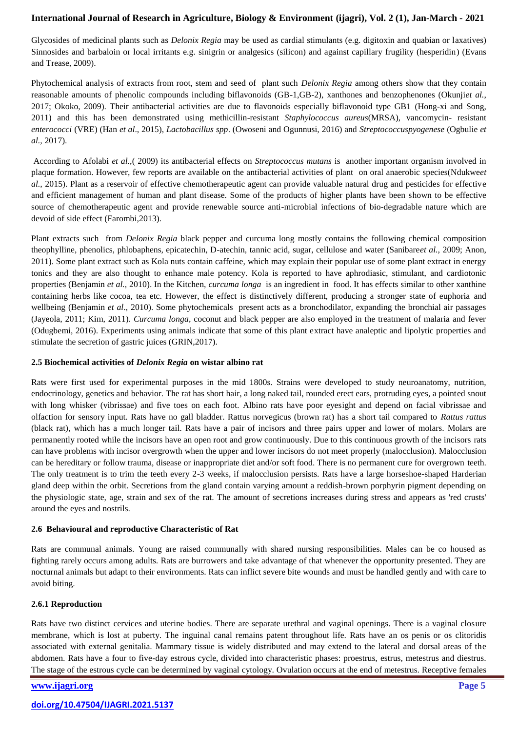Glycosides of medicinal plants such as *Delonix Regia* may be used as cardial stimulants (e.g. digitoxin and quabian or laxatives) Sinnosides and barbaloin or local irritants e.g. sinigrin or analgesics (silicon) and against capillary frugility (hesperidin) (Evans and Trease, 2009).

Phytochemical analysis of extracts from root, stem and seed of plant such *Delonix Regia* among others show that they contain reasonable amounts of phenolic compounds including biflavonoids (GB-1,GB-2), xanthones and benzophenones (Okunji*et al.*, 2017; Okoko, 2009). Their antibacterial activities are due to flavonoids especially biflavonoid type GB1 (Hong-xi and Song, 2011) and this has been demonstrated using methicillin-resistant *Staphylococcus aureus*(MRSA), vancomycin- resistant *enterococci* (VRE) (Han *et al*., 2015), *Lactobacillus spp*. (Owoseni and Ogunnusi, 2016) and *Streptococcuspyogenese* (Ogbulie *et al.,* 2017).

According to Afolabi *et al.,*( 2009) its antibacterial effects on *Streptococcus mutans* is another important organism involved in plaque formation. However, few reports are available on the antibacterial activities of plant on oral anaerobic species(Ndukwe*et al.,* 2015). Plant as a reservoir of effective chemotherapeutic agent can provide valuable natural drug and pesticides for effective and efficient management of human and plant disease. Some of the products of higher plants have been shown to be effective source of chemotherapeutic agent and provide renewable source anti-microbial infections of bio-degradable nature which are devoid of side effect (Farombi,2013).

Plant extracts such from *Delonix Regia* black pepper and curcuma long mostly contains the following chemical composition theophylline, phenolics, phlobaphens, epicatechin, D-atechin, tannic acid, sugar, cellulose and water (Sanibare*et al.,* 2009; Anon, 2011). Some plant extract such as Kola nuts contain caffeine, which may explain their popular use of some plant extract in energy tonics and they are also thought to enhance male potency. Kola is reported to have aphrodiasic, stimulant, and cardiotonic properties (Benjamin *et al.,* 2010). In the Kitchen, *curcuma longa* is an ingredient in food. It has effects similar to other xanthine containing herbs like cocoa, tea etc. However, the effect is distinctively different, producing a stronger state of euphoria and wellbeing (Benjamin *et al*., 2010). Some phytochemicals present acts as a bronchodilator, expanding the bronchial air passages (Jayeola, 2011; Kim, 2011). *Curcuma longa*, coconut and black pepper are also employed in the treatment of malaria and fever (Odugbemi, 2016). Experiments using animals indicate that some of this plant extract have analeptic and lipolytic properties and stimulate the secretion of gastric juices (GRIN,2017).

#### **2.5 Biochemical activities of** *Delonix Regia* **on wistar albino rat**

Rats were first used for experimental purposes in the mid 1800s. Strains were developed to study neuroanatomy, nutrition, endocrinology, genetics and behavior. The rat has short hair, a long naked tail, rounded erect ears, protruding eyes, a pointed snout with long whisker (vibrissae) and five toes on each foot. Albino rats have poor eyesight and depend on facial vibrissae and olfaction for sensory input. Rats have no gall bladder. Rattus norvegicus (brown rat) has a short tail compared to *Rattus rattus* (black rat), which has a much longer tail. Rats have a pair of incisors and three pairs upper and lower of molars. Molars are permanently rooted while the incisors have an open root and grow continuously. Due to this continuous growth of the incisors rats can have problems with incisor overgrowth when the upper and lower incisors do not meet properly (malocclusion). Malocclusion can be hereditary or follow trauma, disease or inappropriate diet and/or soft food. There is no permanent cure for overgrown teeth. The only treatment is to trim the teeth every 2-3 weeks, if malocclusion persists. Rats have a large horseshoe-shaped Harderian gland deep within the orbit. Secretions from the gland contain varying amount a reddish-brown porphyrin pigment depending on the physiologic state, age, strain and sex of the rat. The amount of secretions increases during stress and appears as 'red crusts' around the eyes and nostrils.

#### **2.6 Behavioural and reproductive Characteristic of Rat**

Rats are communal animals. Young are raised communally with shared nursing responsibilities. Males can be co housed as fighting rarely occurs among adults. Rats are burrowers and take advantage of that whenever the opportunity presented. They are nocturnal animals but adapt to their environments. Rats can inflict severe bite wounds and must be handled gently and with care to avoid biting.

#### **2.6.1 Reproduction**

Rats have two distinct cervices and uterine bodies. There are separate urethral and vaginal openings. There is a vaginal closure membrane, which is lost at puberty. The inguinal canal remains patent throughout life. Rats have an os penis or os clitoridis associated with external genitalia. Mammary tissue is widely distributed and may extend to the lateral and dorsal areas of the abdomen. Rats have a four to five-day estrous cycle, divided into characteristic phases: proestrus, estrus, metestrus and diestrus. The stage of the estrous cycle can be determined by vaginal cytology. Ovulation occurs at the end of metestrus. Receptive females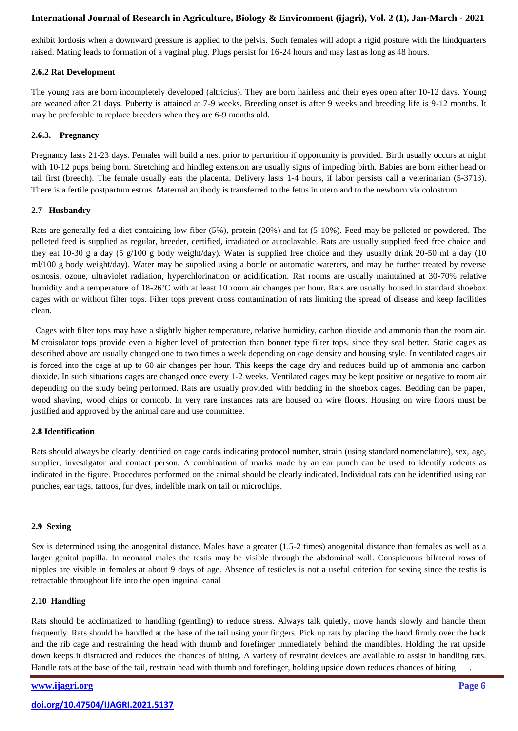exhibit lordosis when a downward pressure is applied to the pelvis. Such females will adopt a rigid posture with the hindquarters raised. Mating leads to formation of a vaginal plug. Plugs persist for 16-24 hours and may last as long as 48 hours.

#### **2.6.2 Rat Development**

The young rats are born incompletely developed (altricius). They are born hairless and their eyes open after 10-12 days. Young are weaned after 21 days. Puberty is attained at 7-9 weeks. Breeding onset is after 9 weeks and breeding life is 9-12 months. It may be preferable to replace breeders when they are 6-9 months old.

## **2.6.3. Pregnancy**

Pregnancy lasts 21-23 days. Females will build a nest prior to parturition if opportunity is provided. Birth usually occurs at night with 10-12 pups being born. Stretching and hindleg extension are usually signs of impeding birth. Babies are born either head or tail first (breech). The female usually eats the placenta. Delivery lasts 1-4 hours, if labor persists call a veterinarian (5-3713). There is a fertile postpartum estrus. Maternal antibody is transferred to the fetus in utero and to the newborn via colostrum.

## **2.7 Husbandry**

Rats are generally fed a diet containing low fiber (5%), protein (20%) and fat (5-10%). Feed may be pelleted or powdered. The pelleted feed is supplied as regular, breeder, certified, irradiated or autoclavable. Rats are usually supplied feed free choice and they eat 10-30 g a day (5 g/100 g body weight/day). Water is supplied free choice and they usually drink 20-50 ml a day (10) ml/100 g body weight/day). Water may be supplied using a bottle or automatic waterers, and may be further treated by reverse osmosis, ozone, ultraviolet radiation, hyperchlorination or acidification. Rat rooms are usually maintained at 30-70% relative humidity and a temperature of 18-26°C with at least 10 room air changes per hour. Rats are usually housed in standard shoebox cages with or without filter tops. Filter tops prevent cross contamination of rats limiting the spread of disease and keep facilities clean.

 Cages with filter tops may have a slightly higher temperature, relative humidity, carbon dioxide and ammonia than the room air. Microisolator tops provide even a higher level of protection than bonnet type filter tops, since they seal better. Static cages as described above are usually changed one to two times a week depending on cage density and housing style. In ventilated cages air is forced into the cage at up to 60 air changes per hour. This keeps the cage dry and reduces build up of ammonia and carbon dioxide. In such situations cages are changed once every 1-2 weeks. Ventilated cages may be kept positive or negative to room air depending on the study being performed. Rats are usually provided with bedding in the shoebox cages. Bedding can be paper, wood shaving, wood chips or corncob. In very rare instances rats are housed on wire floors. Housing on wire floors must be justified and approved by the animal care and use committee.

#### **2.8 Identification**

Rats should always be clearly identified on cage cards indicating protocol number, strain (using standard nomenclature), sex, age, supplier, investigator and contact person. A combination of marks made by an ear punch can be used to identify rodents as indicated in the figure. Procedures performed on the animal should be clearly indicated. Individual rats can be identified using ear punches, ear tags, tattoos, fur dyes, indelible mark on tail or microchips.

#### **2.9 Sexing**

Sex is determined using the anogenital distance. Males have a greater (1.5-2 times) anogenital distance than females as well as a larger genital papilla. In neonatal males the testis may be visible through the abdominal wall. Conspicuous bilateral rows of nipples are visible in females at about 9 days of age. Absence of testicles is not a useful criterion for sexing since the testis is retractable throughout life into the open inguinal canal

#### **2.10 Handling**

Rats should be acclimatized to handling (gentling) to reduce stress. Always talk quietly, move hands slowly and handle them frequently. Rats should be handled at the base of the tail using your fingers. Pick up rats by placing the hand firmly over the back and the rib cage and restraining the head with thumb and forefinger immediately behind the mandibles. Holding the rat upside down keeps it distracted and reduces the chances of biting. A variety of restraint devices are available to assist in handling rats. Handle rats at the base of the tail, restrain head with thumb and forefinger, holding upside down reduces chances of biting .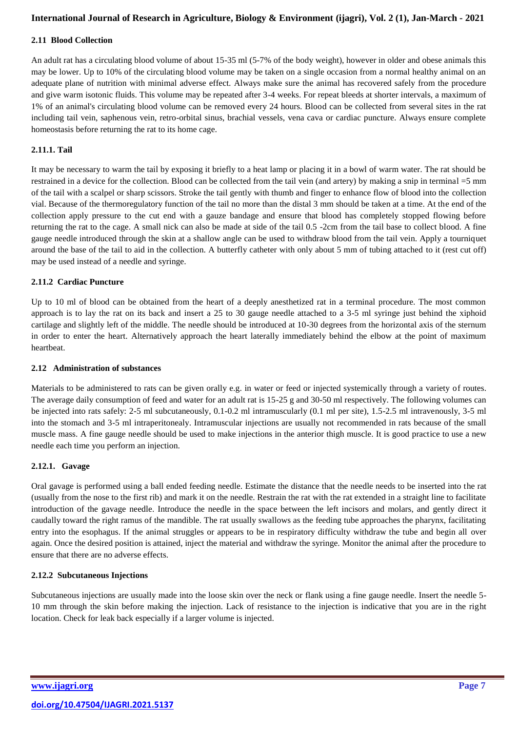## **2.11 Blood Collection**

An adult rat has a circulating blood volume of about 15-35 ml (5-7% of the body weight), however in older and obese animals this may be lower. Up to 10% of the circulating blood volume may be taken on a single occasion from a normal healthy animal on an adequate plane of nutrition with minimal adverse effect. Always make sure the animal has recovered safely from the procedure and give warm isotonic fluids. This volume may be repeated after 3-4 weeks. For repeat bleeds at shorter intervals, a maximum of 1% of an animal's circulating blood volume can be removed every 24 hours. Blood can be collected from several sites in the rat including tail vein, saphenous vein, retro-orbital sinus, brachial vessels, vena cava or cardiac puncture. Always ensure complete homeostasis before returning the rat to its home cage.

## **2.11.1. Tail**

It may be necessary to warm the tail by exposing it briefly to a heat lamp or placing it in a bowl of warm water. The rat should be restrained in a device for the collection. Blood can be collected from the tail vein (and artery) by making a snip in terminal =5 mm of the tail with a scalpel or sharp scissors. Stroke the tail gently with thumb and finger to enhance flow of blood into the collection vial. Because of the thermoregulatory function of the tail no more than the distal 3 mm should be taken at a time. At the end of the collection apply pressure to the cut end with a gauze bandage and ensure that blood has completely stopped flowing before returning the rat to the cage. A small nick can also be made at side of the tail 0.5 -2cm from the tail base to collect blood. A fine gauge needle introduced through the skin at a shallow angle can be used to withdraw blood from the tail vein. Apply a tourniquet around the base of the tail to aid in the collection. A butterfly catheter with only about 5 mm of tubing attached to it (rest cut off) may be used instead of a needle and syringe.

## **2.11.2 Cardiac Puncture**

Up to 10 ml of blood can be obtained from the heart of a deeply anesthetized rat in a terminal procedure. The most common approach is to lay the rat on its back and insert a 25 to 30 gauge needle attached to a 3-5 ml syringe just behind the xiphoid cartilage and slightly left of the middle. The needle should be introduced at 10-30 degrees from the horizontal axis of the sternum in order to enter the heart. Alternatively approach the heart laterally immediately behind the elbow at the point of maximum heartbeat.

#### **2.12 Administration of substances**

Materials to be administered to rats can be given orally e.g. in water or feed or injected systemically through a variety of routes. The average daily consumption of feed and water for an adult rat is 15-25 g and 30-50 ml respectively. The following volumes can be injected into rats safely: 2-5 ml subcutaneously, 0.1-0.2 ml intramuscularly (0.1 ml per site), 1.5-2.5 ml intravenously, 3-5 ml into the stomach and 3-5 ml intraperitonealy. Intramuscular injections are usually not recommended in rats because of the small muscle mass. A fine gauge needle should be used to make injections in the anterior thigh muscle. It is good practice to use a new needle each time you perform an injection.

#### **2.12.1. Gavage**

Oral gavage is performed using a ball ended feeding needle. Estimate the distance that the needle needs to be inserted into the rat (usually from the nose to the first rib) and mark it on the needle. Restrain the rat with the rat extended in a straight line to facilitate introduction of the gavage needle. Introduce the needle in the space between the left incisors and molars, and gently direct it caudally toward the right ramus of the mandible. The rat usually swallows as the feeding tube approaches the pharynx, facilitating entry into the esophagus. If the animal struggles or appears to be in respiratory difficulty withdraw the tube and begin all over again. Once the desired position is attained, inject the material and withdraw the syringe. Monitor the animal after the procedure to ensure that there are no adverse effects.

# **2.12.2 Subcutaneous Injections**

Subcutaneous injections are usually made into the loose skin over the neck or flank using a fine gauge needle. Insert the needle 5- 10 mm through the skin before making the injection. Lack of resistance to the injection is indicative that you are in the right location. Check for leak back especially if a larger volume is injected.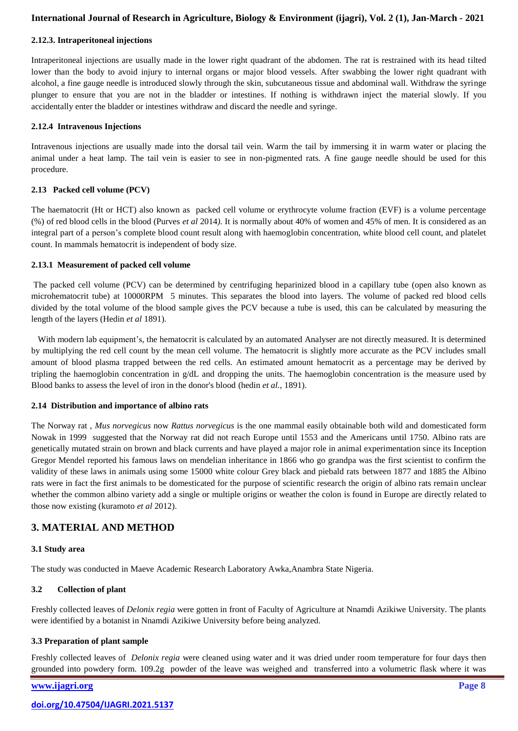#### **2.12.3. Intraperitoneal injections**

Intraperitoneal injections are usually made in the lower right quadrant of the abdomen. The rat is restrained with its head tilted lower than the body to avoid injury to internal organs or major blood vessels. After swabbing the lower right quadrant with alcohol, a fine gauge needle is introduced slowly through the skin, subcutaneous tissue and abdominal wall. Withdraw the syringe plunger to ensure that you are not in the bladder or intestines. If nothing is withdrawn inject the material slowly. If you accidentally enter the bladder or intestines withdraw and discard the needle and syringe.

#### **2.12.4 Intravenous Injections**

Intravenous injections are usually made into the dorsal tail vein. Warm the tail by immersing it in warm water or placing the animal under a heat lamp. The tail vein is easier to see in non-pigmented rats. A fine gauge needle should be used for this procedure.

#### **2.13 Packed cell volume (PCV)**

The haematocrit (Ht or HCT) also known as packed cell volume or erythrocyte volume fraction (EVF) is a volume percentage (%) of red blood cells in the blood (Purves *et al* 2014*).* It is normally about 40% of women and 45% of men. It is considered as an integral part of a person's complete blood count result along with haemoglobin concentration, white blood cell count, and platelet count. In mammals hematocrit is independent of body size.

#### **2.13.1 Measurement of packed cell volume**

The packed cell volume (PCV) can be determined by centrifuging heparinized blood in a capillary tube (open also known as microhematocrit tube) at 10000RPM 5 minutes. This separates the blood into layers. The volume of packed red blood cells divided by the total volume of the blood sample gives the PCV because a tube is used, this can be calculated by measuring the length of the layers (Hedin *et al* 1891).

 With modern lab equipment's, the hematocrit is calculated by an automated Analyser are not directly measured. It is determined by multiplying the red cell count by the mean cell volume. The hematocrit is slightly more accurate as the PCV includes small amount of blood plasma trapped between the red cells. An estimated amount hematocrit as a percentage may be derived by tripling the haemoglobin concentration in g/dL and dropping the units. The haemoglobin concentration is the measure used by Blood banks to assess the level of iron in the donor's blood (hedin *et al.,* 1891).

#### **2.14 Distribution and importance of albino rats**

The Norway rat , *Mus norvegicus* now *Rattus norvegicus* is the one mammal easily obtainable both wild and domesticated form Nowak in 1999 suggested that the Norway rat did not reach Europe until 1553 and the Americans until 1750. Albino rats are genetically mutated strain on brown and black currents and have played a major role in animal experimentation since its Inception Gregor Mendel reported his famous laws on mendelian inheritance in 1866 who go grandpa was the first scientist to confirm the validity of these laws in animals using some 15000 white colour Grey black and piebald rats between 1877 and 1885 the Albino rats were in fact the first animals to be domesticated for the purpose of scientific research the origin of albino rats remain unclear whether the common albino variety add a single or multiple origins or weather the colon is found in Europe are directly related to those now existing (kuramoto *et al* 2012).

# **3. MATERIAL AND METHOD**

#### **3.1 Study area**

The study was conducted in Maeve Academic Research Laboratory Awka,Anambra State Nigeria.

# **3.2 Collection of plant**

Freshly collected leaves of *Delonix regia* were gotten in front of Faculty of Agriculture at Nnamdi Azikiwe University. The plants were identified by a botanist in Nnamdi Azikiwe University before being analyzed.

# **3.3 Preparation of plant sample**

Freshly collected leaves of *Delonix regia* were cleaned using water and it was dried under room temperature for four days then grounded into powdery form. 109.2g powder of the leave was weighed and transferred into a volumetric flask where it was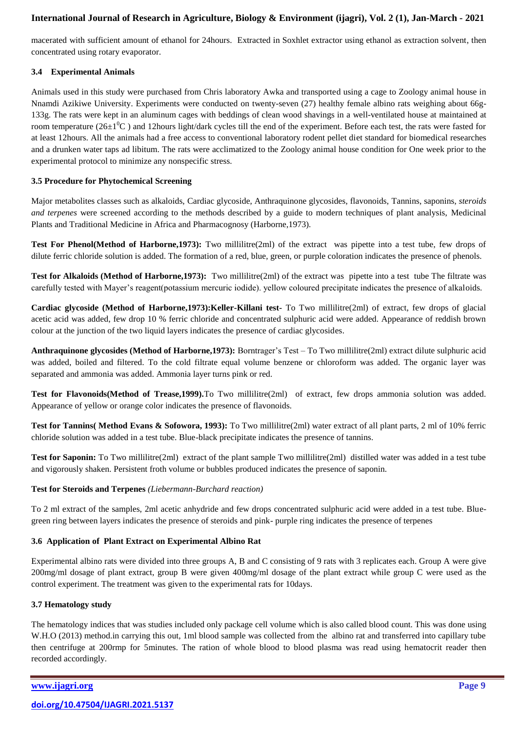macerated with sufficient amount of ethanol for 24hours. Extracted in Soxhlet extractor using ethanol as extraction solvent, then concentrated using rotary evaporator.

# **3.4 Experimental Animals**

Animals used in this study were purchased from Chris laboratory Awka and transported using a cage to Zoology animal house in Nnamdi Azikiwe University. Experiments were conducted on twenty-seven (27) healthy female albino rats weighing about 66g-133g. The rats were kept in an aluminum cages with beddings of clean wood shavings in a well-ventilated house at maintained at room temperature ( $26\pm1\text{°C}$ ) and 12hours light/dark cycles till the end of the experiment. Before each test, the rats were fasted for at least 12hours. All the animals had a free access to conventional laboratory rodent pellet diet standard for biomedical researches and a drunken water taps ad libitum. The rats were acclimatized to the Zoology animal house condition for One week prior to the experimental protocol to minimize any nonspecific stress.

# **3.5 Procedure for Phytochemical Screening**

Major metabolites classes such as alkaloids, Cardiac glycoside, Anthraquinone glycosides, flavonoids, Tannins, saponins, *steroids and terpenes* were screened according to the methods described by a guide to modern techniques of plant analysis, Medicinal Plants and Traditional Medicine in Africa and Pharmacognosy (Harborne,1973).

**Test For Phenol(Method of Harborne, 1973):** Two millilitre(2ml) of the extract was pipette into a test tube, few drops of dilute [ferric chloride](https://en.wikipedia.org/wiki/Ferric_chloride) solution is added. The formation of a red, blue, green, or purple coloration indicates the presence of phenols.

**Test for Alkaloids (Method of Harborne,1973):** Two millilitre(2ml) of the extract was pipette into a test tube The filtrate was carefully tested with Mayer's reagent(potassium mercuric iodide). yellow coloured precipitate indicates the presence of alkaloids.

**Cardiac glycoside (Method of Harborne,1973):Keller-Killani test-** To Two millilitre(2ml) of extract, few drops of glacial acetic acid was added, few drop 10 % ferric chloride and concentrated sulphuric acid were added. Appearance of reddish brown colour at the junction of the two liquid layers indicates the presence of cardiac glycosides.

**Anthraquinone glycosides (Method of Harborne,1973):** Borntrager's Test – To Two millilitre(2ml) extract dilute sulphuric acid was added, boiled and filtered. To the cold filtrate equal volume benzene or chloroform was added. The organic layer was separated and ammonia was added. Ammonia layer turns pink or red.

**Test for Flavonoids(Method of Trease,1999).**To Two millilitre(2ml) of extract, few drops ammonia solution was added. Appearance of yellow or orange color indicates the presence of flavonoids.

**Test for Tannins( Method Evans & Sofowora, 1993):** To Two millilitre(2ml) water extract of all plant parts, 2 ml of 10% ferric chloride solution was added in a test tube. Blue-black precipitate indicates the presence of tannins.

**Test for Saponin:** To Two millilitre(2ml) extract of the plant sample Two millilitre(2ml) distilled water was added in a test tube and vigorously shaken. Persistent froth volume or bubbles produced indicates the presence of saponin.

#### **Test for Steroids and Terpenes** *(Liebermann-Burchard reaction)*

To 2 ml extract of the samples, 2ml acetic anhydride and few drops concentrated sulphuric acid were added in a test tube. Bluegreen ring between layers indicates the presence of steroids and pink- purple ring indicates the presence of terpenes

# **3.6 Application of Plant Extract on Experimental Albino Rat**

Experimental albino rats were divided into three groups A, B and C consisting of 9 rats with 3 replicates each. Group A were give 200mg/ml dosage of plant extract, group B were given 400mg/ml dosage of the plant extract while group C were used as the control experiment. The treatment was given to the experimental rats for 10days.

#### **3.7 Hematology study**

The hematology indices that was studies included only package cell volume which is also called blood count. This was done using W.H.O (2013) method.in carrying this out, 1ml blood sample was collected from the albino rat and transferred into capillary tube then centrifuge at 200rmp for 5minutes. The ration of whole blood to blood plasma was read using hematocrit reader then recorded accordingly.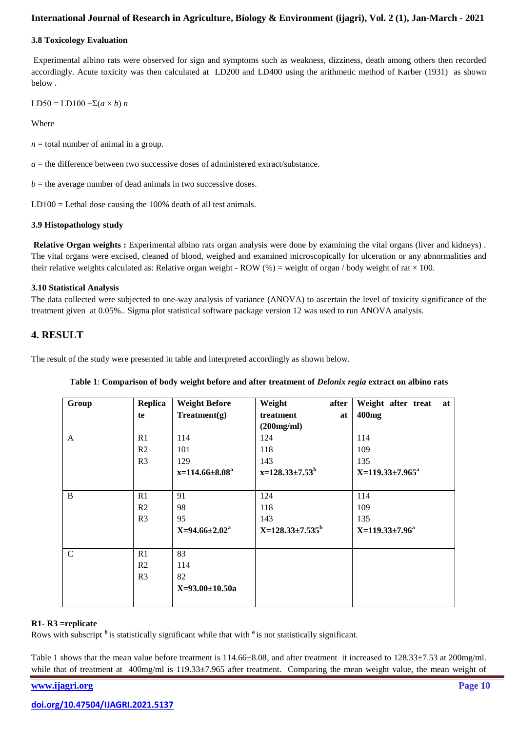#### **3.8 Toxicology Evaluation**

Experimental albino rats were observed for sign and symptoms such as weakness, dizziness, death among others then recorded accordingly. Acute toxicity was then calculated at LD200 and LD400 using the arithmetic method of Karber (1931) as shown below .

LD50 = LD100  $-\Sigma(a \times b)$  *n* 

**Where** 

 $n =$  total number of animal in a group.

 $a =$  the difference between two successive doses of administered extract/substance.

 $b =$  the average number of dead animals in two successive doses.

 $LD100 = Lethal dose causing the 100% death of all test animals.$ 

## **3.9 Histopathology study**

**Relative Organ weights :** Experimental albino rats organ analysis were done by examining the vital organs (liver and kidneys) . The vital organs were excised, cleaned of blood, weighed and examined microscopically for ulceration or any abnormalities and their relative weights calculated as: Relative organ weight - ROW (%) = weight of organ / body weight of rat  $\times$  100.

## **3.10 Statistical Analysis**

The data collected were subjected to one-way analysis of variance (ANOVA) to ascertain the level of toxicity significance of the treatment given at 0.05%.. Sigma plot statistical software package version 12 was used to run ANOVA analysis.

# **4. RESULT**

The result of the study were presented in table and interpreted accordingly as shown below.

| Group         | Replica        | <b>Weight Before</b> | Weight<br>after        | Weight after treat<br>at |
|---------------|----------------|----------------------|------------------------|--------------------------|
|               | te             | Treatment(g)         | treatment<br>at        | 400mg                    |
|               |                |                      | (200mg/ml)             |                          |
| $\mathsf{A}$  | R1             | 114                  | 124                    | 114                      |
|               | R <sub>2</sub> | 101                  | 118                    | 109                      |
|               | R <sub>3</sub> | 129                  | 143                    | 135                      |
|               |                | $x=114.66\pm8.08^a$  | $x=128.33\pm7.53^{b}$  | $X=119.33\pm7.965^a$     |
|               |                |                      |                        |                          |
| B             | R1             | 91                   | 124                    | 114                      |
|               | R <sub>2</sub> | 98                   | 118                    | 109                      |
|               | R <sub>3</sub> | 95                   | 143                    | 135                      |
|               |                | $X=94.66\pm2.02^a$   | $X=128.33\pm7.535^{b}$ | $X=119.33\pm7.96^a$      |
|               |                |                      |                        |                          |
| $\mathcal{C}$ | R1             | 83                   |                        |                          |
|               | R <sub>2</sub> | 114                  |                        |                          |
|               | R <sub>3</sub> | 82                   |                        |                          |
|               |                | $X=93.00\pm10.50a$   |                        |                          |
|               |                |                      |                        |                          |

|  |  | Table 1: Comparison of body weight before and after treatment of <i>Delonix regia</i> extract on albino rats |  |
|--|--|--------------------------------------------------------------------------------------------------------------|--|
|  |  |                                                                                                              |  |

#### **R1- R3 =replicate**

Rows with subscript **<sup>b</sup>**is statistically significant while that with **<sup>a</sup>**is not statistically significant.

Table 1 shows that the mean value before treatment is  $114.66\pm8.08$ , and after treatment it increased to  $128.33\pm7.53$  at  $200$ mg/ml. while that of treatment at 400mg/ml is 119.33±7.965 after treatment. Comparing the mean weight value, the mean weight of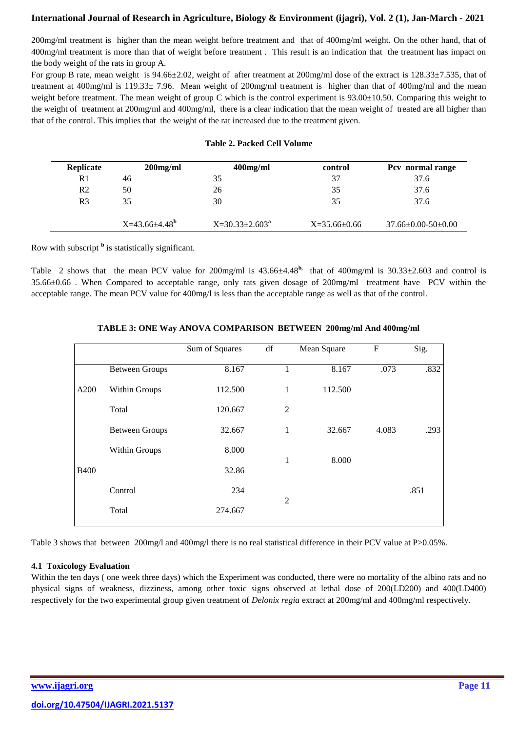200mg/ml treatment is higher than the mean weight before treatment and that of 400mg/ml weight. On the other hand, that of 400mg/ml treatment is more than that of weight before treatment . This result is an indication that the treatment has impact on the body weight of the rats in group A.

For group B rate, mean weight is  $94.66\pm2.02$ , weight of after treatment at  $200$ mg/ml dose of the extract is  $128.33\pm7.535$ , that of treatment at 400mg/ml is 119.33± 7.96. Mean weight of 200mg/ml treatment is higher than that of 400mg/ml and the mean weight before treatment. The mean weight of group C which is the control experiment is 93.00±10.50. Comparing this weight to the weight of treatment at 200mg/ml and 400mg/ml, there is a clear indication that the mean weight of treated are all higher than that of the control. This implies that the weight of the rat increased due to the treatment given.

#### **Table 2. Packed Cell Volume**

| Replicate      | $200$ mg/ml              | $400$ mg/ml         | control          | Pcv normal range               |
|----------------|--------------------------|---------------------|------------------|--------------------------------|
| R1             | 46                       | 35                  | 37               | 37.6                           |
| R <sub>2</sub> | 50                       | 26                  | 35               | 37.6                           |
| R <sub>3</sub> | 35                       | 30                  | 35               | 37.6                           |
|                |                          |                     |                  |                                |
|                | $X=43.66\pm4.48^{\circ}$ | $X=30.33\pm2.603^a$ | $X=35.66\pm0.66$ | $37.66 \pm 0.00 - 50 \pm 0.00$ |

Row with subscript **<sup>b</sup>** is statistically significant.

Table 2 shows that the mean PCV value for 200mg/ml is  $43.66\pm4.48^{\circ}$ , that of  $400$ mg/ml is  $30.33\pm2.603$  and control is 35.66±0.66 . When Compared to acceptable range, only rats given dosage of 200mg/ml treatment have PCV within the acceptable range. The mean PCV value for 400mg/l is less than the acceptable range as well as that of the control.

|             |                       | Sum of Squares | $\mathrm{d}\mathrm{f}$ | Mean Square | $\mathbf{F}$ | Sig. |
|-------------|-----------------------|----------------|------------------------|-------------|--------------|------|
|             | <b>Between Groups</b> | 8.167          | 1                      | 8.167       | .073         | .832 |
| A200        | Within Groups         | 112.500        | 1                      | 112.500     |              |      |
|             | Total                 | 120.667        | $\overline{2}$         |             |              |      |
|             | <b>Between Groups</b> | 32.667         | 1                      | 32.667      | 4.083        | .293 |
|             | Within Groups         | 8.000          | 1                      | 8.000       |              |      |
| <b>B400</b> |                       | 32.86          |                        |             |              |      |
|             | Control               | 234            | $\overline{2}$         |             |              | .851 |
|             | Total                 | 274.667        |                        |             |              |      |

# **TABLE 3: ONE Way ANOVA COMPARISON BETWEEN 200mg/ml And 400mg/ml**

Table 3 shows that between 200mg/l and 400mg/l there is no real statistical difference in their PCV value at P>0.05%.

# **4.1 Toxicology Evaluation**

Within the ten days ( one week three days) which the Experiment was conducted, there were no mortality of the albino rats and no physical signs of weakness, dizziness, among other toxic signs observed at lethal dose of 200(LD200) and 400(LD400) respectively for the two experimental group given treatment of *Delonix regia* extract at 200mg/ml and 400mg/ml respectively.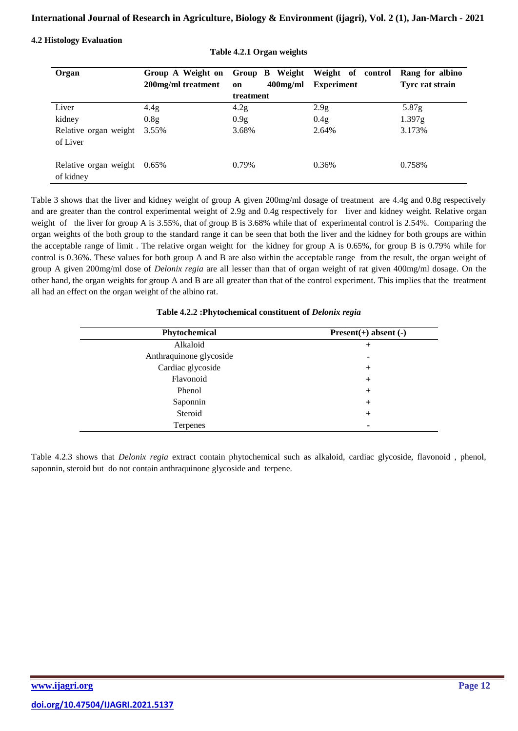## **4.2 Histology Evaluation**

| Organ                              | Group A Weight on<br>200mg/ml treatment | Group B Weight<br>$400$ mg/ml<br>on | Weight of control<br><b>Experiment</b> | Rang for albino<br>Tyrc rat strain |
|------------------------------------|-----------------------------------------|-------------------------------------|----------------------------------------|------------------------------------|
|                                    |                                         | treatment                           |                                        |                                    |
| Liver                              | 4.4g                                    | 4.2g                                | 2.9 <sub>g</sub>                       | 5.87g                              |
| kidney                             | 0.8 <sub>g</sub>                        | 0.9 <sub>g</sub>                    | 0.4g                                   | 1.397g                             |
| Relative organ weight<br>of Liver  | 3.55%                                   | 3.68%                               | 2.64%                                  | 3.173%                             |
| Relative organ weight<br>of kidney | $0.65\%$                                | 0.79%                               | 0.36%                                  | 0.758%                             |

**Table 4.2.1 Organ weights**

Table 3 shows that the liver and kidney weight of group A given 200mg/ml dosage of treatment are 4.4g and 0.8g respectively and are greater than the control experimental weight of 2.9g and 0.4g respectively for liver and kidney weight. Relative organ weight of the liver for group A is 3.55%, that of group B is 3.68% while that of experimental control is 2.54%. Comparing the organ weights of the both group to the standard range it can be seen that both the liver and the kidney for both groups are within the acceptable range of limit . The relative organ weight for the kidney for group A is 0.65%, for group B is 0.79% while for control is 0.36%. These values for both group A and B are also within the acceptable range from the result, the organ weight of group A given 200mg/ml dose of *Delonix regia* are all lesser than that of organ weight of rat given 400mg/ml dosage. On the other hand, the organ weights for group A and B are all greater than that of the control experiment. This implies that the treatment all had an effect on the organ weight of the albino rat.

| Phytochemical           | $Present(+)$ absent $(-)$ |
|-------------------------|---------------------------|
| Alkaloid                | $^{+}$                    |
| Anthraquinone glycoside |                           |
| Cardiac glycoside       | $^{+}$                    |
| Flavonoid               | $^{+}$                    |
| Phenol                  | $^{+}$                    |
| Saponnin                | $\pm$                     |
| Steroid                 | $\pm$                     |
| Terpenes                |                           |

#### **Table 4.2.2 :Phytochemical constituent of** *Delonix regia*

Table 4.2.3 shows that *Delonix regia* extract contain phytochemical such as alkaloid, cardiac glycoside, flavonoid , phenol, saponnin, steroid but do not contain anthraquinone glycoside and terpene.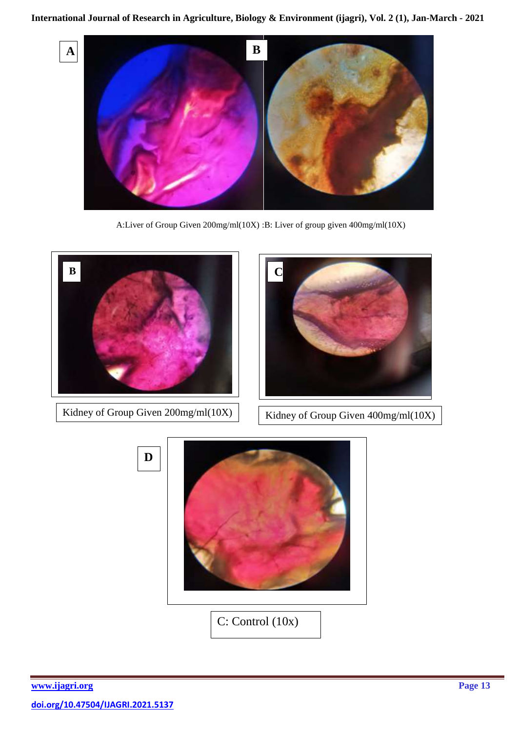

A:Liver of Group Given 200mg/ml(10X) :B: Liver of group given 400mg/ml(10X)



Kidney of Group Given  $200$ mg/ml(10X) Kidney of Group Given  $400$ mg/ml(10X)





C: Control (10x)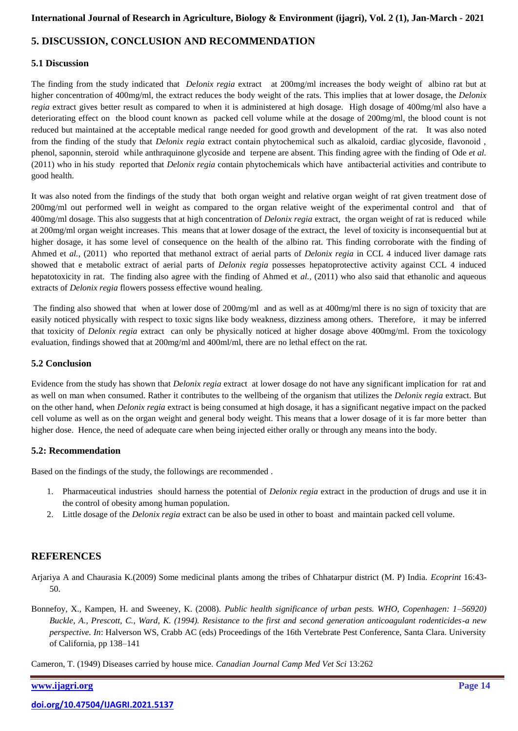# **5. DISCUSSION, CONCLUSION AND RECOMMENDATION**

# **5.1 Discussion**

The finding from the study indicated that *Delonix regia* extract at 200mg/ml increases the body weight of albino rat but at higher concentration of 400mg/ml, the extract reduces the body weight of the rats. This implies that at lower dosage, the *Delonix regia* extract gives better result as compared to when it is administered at high dosage. High dosage of 400mg/ml also have a deteriorating effect on the blood count known as packed cell volume while at the dosage of 200mg/ml, the blood count is not reduced but maintained at the acceptable medical range needed for good growth and development of the rat. It was also noted from the finding of the study that *Delonix regia* extract contain phytochemical such as alkaloid, cardiac glycoside, flavonoid , phenol, saponnin, steroid while anthraquinone glycoside and terpene are absent. This finding agree with the finding of Ode *et al.* (2011) who in his study reported that *Delonix regia* contain phytochemicals which have antibacterial activities and contribute to good health.

It was also noted from the findings of the study that both organ weight and relative organ weight of rat given treatment dose of 200mg/ml out performed well in weight as compared to the organ relative weight of the experimental control and that of 400mg/ml dosage. This also suggests that at high concentration of *Delonix regia* extract, the organ weight of rat is reduced while at 200mg/ml organ weight increases. This means that at lower dosage of the extract, the level of toxicity is inconsequential but at higher dosage, it has some level of consequence on the health of the albino rat. This finding corroborate with the finding of Ahmed et *al.,* (2011) who reported that methanol extract of aerial parts of *Delonix regia* in CCL 4 induced liver damage rats showed that e metabolic extract of aerial parts of *Delonix regia* possesses hepatoprotective activity against CCL 4 induced hepatotoxicity in rat. The finding also agree with the finding of Ahmed et *al.*, (2011) who also said that ethanolic and aqueous extracts of *Delonix regia* flowers possess effective wound healing.

The finding also showed that when at lower dose of 200mg/ml and as well as at 400mg/ml there is no sign of toxicity that are easily noticed physically with respect to toxic signs like body weakness, dizziness among others. Therefore, it may be inferred that toxicity of *Delonix regia* extract can only be physically noticed at higher dosage above 400mg/ml. From the toxicology evaluation, findings showed that at 200mg/ml and 400ml/ml, there are no lethal effect on the rat.

## **5.2 Conclusion**

Evidence from the study has shown that *Delonix regia* extract at lower dosage do not have any significant implication for rat and as well on man when consumed. Rather it contributes to the wellbeing of the organism that utilizes the *Delonix regia* extract. But on the other hand, when *Delonix regia* extract is being consumed at high dosage, it has a significant negative impact on the packed cell volume as well as on the organ weight and general body weight. This means that a lower dosage of it is far more better than higher dose. Hence, the need of adequate care when being injected either orally or through any means into the body.

#### **5.2: Recommendation**

Based on the findings of the study, the followings are recommended .

- 1. Pharmaceutical industries should harness the potential of *Delonix regia* extract in the production of drugs and use it in the control of obesity among human population.
- 2. Little dosage of the *Delonix regia* extract can be also be used in other to boast and maintain packed cell volume.

# **REFERENCES**

Arjariya A and Chaurasia K.(2009) Some medicinal plants among the tribes of Chhatarpur district (M. P) India. *Ecoprint* 16:43- 50.

Bonnefoy, X., Kampen, H. and Sweeney, K. (2008). *Public health significance of urban pests. WHO, Copenhagen: 1–56920) Buckle, A., Prescott, C., Ward, K. (1994). Resistance to the first and second generation anticoagulant rodenticides-a new perspective. In*: Halverson WS, Crabb AC (eds) Proceedings of the 16th Vertebrate Pest Conference, Santa Clara. University of California, pp 138–141

Cameron, T. (1949) Diseases carried by house mice. *Canadian Journal Camp Med Vet Sci* 13:262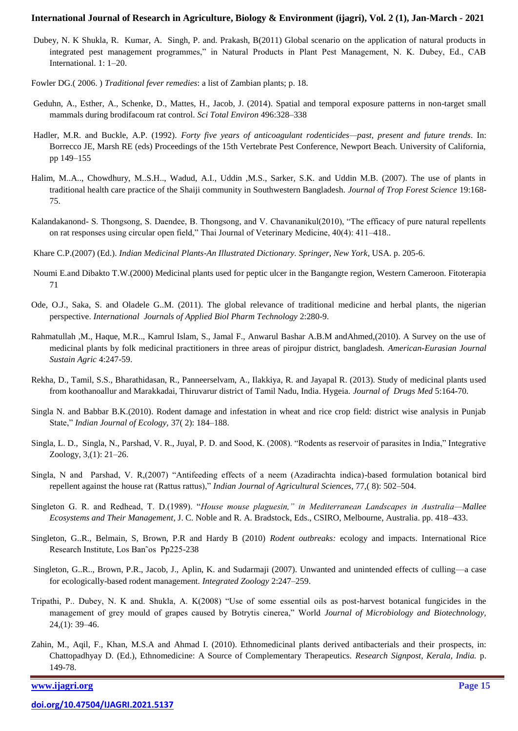- Dubey, N. K Shukla, R. Kumar, A. Singh, P. and. Prakash, B(2011) Global scenario on the application of natural products in integrated pest management programmes," in Natural Products in Plant Pest Management, N. K. Dubey, Ed., CAB International. 1: 1–20.
- Fowler DG.( 2006. ) *Traditional fever remedies*: a list of Zambian plants; p. 18.
- Geduhn, A., Esther, A., Schenke, D., Mattes, H., Jacob, J. (2014). Spatial and temporal exposure patterns in non-target small mammals during brodifacoum rat control. *Sci Total Environ* 496:328–338
- Hadler, M.R. and Buckle, A.P. (1992). *Forty five years of anticoagulant rodenticides—past, present and future trends*. In: Borrecco JE, Marsh RE (eds) Proceedings of the 15th Vertebrate Pest Conference, Newport Beach. University of California, pp 149–155
- Halim, M..A.., Chowdhury, M..S.H.., Wadud, A.I., Uddin ,M.S., Sarker, S.K. and Uddin M.B. (2007). The use of plants in traditional health care practice of the Shaiji community in Southwestern Bangladesh. *Journal of Trop Forest Science* 19:168- 75.
- Kalandakanond- S. Thongsong, S. Daendee, B. Thongsong, and V. Chavananikul(2010), "The efficacy of pure natural repellents on rat responses using circular open field," Thai Journal of Veterinary Medicine, 40(4): 411-418..
- Khare C.P.(2007) (Ed.). *Indian Medicinal Plants-An Illustrated Dictionary. Springer, New York*, USA. p. 205-6.
- Noumi E.and Dibakto T.W.(2000) Medicinal plants used for peptic ulcer in the Bangangte region, Western Cameroon. Fitoterapia 71
- Ode, O.J., Saka, S. and Oladele G..M. (2011). The global relevance of traditional medicine and herbal plants, the nigerian perspective. *International Journals of Applied Biol Pharm Technology* 2:280-9.
- Rahmatullah ,M., Haque, M.R.., Kamrul Islam, S., Jamal F., Anwarul Bashar A.B.M andAhmed,(2010). A Survey on the use of medicinal plants by folk medicinal practitioners in three areas of pirojpur district, bangladesh. *American-Eurasian Journal Sustain Agric* 4:247-59.
- Rekha, D., Tamil, S.S., Bharathidasan, R., Panneerselvam, A., Ilakkiya, R. and Jayapal R. (2013). Study of medicinal plants used from koothanoallur and Marakkadai, Thiruvarur district of Tamil Nadu, India. Hygeia. *Journal of Drugs Med* 5:164-70.
- Singla N. and Babbar B.K.(2010). Rodent damage and infestation in wheat and rice crop field: district wise analysis in Punjab State," *Indian Journal of Ecology*, 37(2): 184-188.
- Singla, L. D., Singla, N., Parshad, V. R., Juyal, P. D. and Sood, K. (2008). "Rodents as reservoir of parasites in India," Integrative Zoology, 3,(1): 21–26.
- Singla, N and Parshad, V. R,(2007) "Antifeeding effects of a neem (Azadirachta indica)-based formulation botanical bird repellent against the house rat (Rattus rattus),‖ *Indian Journal of Agricultural Sciences,* 77,( 8): 502–504.
- Singleton G. R. and Redhead, T. D.(1989). "*House mouse plaguesin," in Mediterranean Landscapes in Australia—Mallee Ecosystems and Their Management*, J. C. Noble and R. A. Bradstock, Eds., CSIRO, Melbourne, Australia. pp. 418–433.
- Singleton, G..R., Belmain, S, Brown, P.R and Hardy B (2010) *Rodent outbreaks:* ecology and impacts. International Rice Research Institute, Los Ban˜os Pp225-238
- Singleton, G..R.., Brown, P.R., Jacob, J., Aplin, K. and Sudarmaji (2007). Unwanted and unintended effects of culling—a case for ecologically-based rodent management. *Integrated Zoology* 2:247–259.
- Tripathi, P.. Dubey, N. K and. Shukla, A. K(2008) "Use of some essential oils as post-harvest botanical fungicides in the management of grey mould of grapes caused by Botrytis cinerea," World *Journal of Microbiology and Biotechnology*, 24,(1): 39–46.
- Zahin, M., Aqil, F., Khan, M.S.A and Ahmad I. (2010). Ethnomedicinal plants derived antibacterials and their prospects, in: Chattopadhyay D. (Ed.), Ethnomedicine: A Source of Complementary Therapeutics. *Research Signpost, Kerala, India.* p. 149-78.